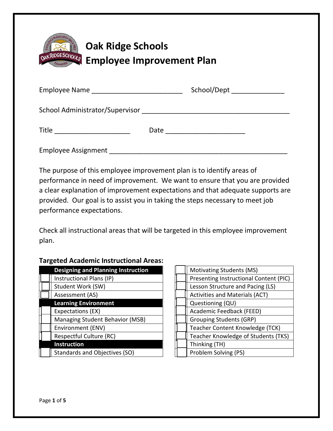

## **Oak Ridge Schools Employee Improvement Plan**

|                     |      | School/Dept _______________ |
|---------------------|------|-----------------------------|
|                     |      |                             |
| Title               | Date |                             |
| Employee Assignment |      |                             |

The purpose of this employee improvement plan is to identify areas of performance in need of improvement. We want to ensure that you are provided a clear explanation of improvement expectations and that adequate supports are provided. Our goal is to assist you in taking the steps necessary to meet job performance expectations.

Check all instructional areas that will be targeted in this employee improvement plan.

## **Targeted Academic Instructional Areas:**

| <b>Designing and Planning Instruction</b> |  | <b>Motivating Students (MS)</b>           |
|-------------------------------------------|--|-------------------------------------------|
| Instructional Plans (IP)                  |  | <b>Presenting Instructional Content (</b> |
| Student Work (SW)                         |  | Lesson Structure and Pacing (LS)          |
| Assessment (AS)                           |  | Activities and Materials (ACT)            |
| <b>Learning Environment</b>               |  | Questioning (QU)                          |
| Expectations (EX)                         |  | Academic Feedback (FEED)                  |
| Managing Student Behavior (MSB)           |  | <b>Grouping Students (GRP)</b>            |
| Environment (ENV)                         |  | Teacher Content Knowledge (TCK)           |
| Respectful Culture (RC)                   |  | Teacher Knowledge of Students (T          |
| <b>Instruction</b>                        |  | Thinking (TH)                             |
| Standards and Objectives (SO)             |  | Problem Solving (PS)                      |

| <b>Designing and Planning Instruction</b> |  | <b>Motivating Students (MS)</b>        |
|-------------------------------------------|--|----------------------------------------|
| Instructional Plans (IP)                  |  | Presenting Instructional Content (PIC) |
| Student Work (SW)                         |  | Lesson Structure and Pacing (LS)       |
| Assessment (AS)                           |  | Activities and Materials (ACT)         |
| <b>Learning Environment</b>               |  | Questioning (QU)                       |
| Expectations (EX)                         |  | Academic Feedback (FEED)               |
| Managing Student Behavior (MSB)           |  | <b>Grouping Students (GRP)</b>         |
| Environment (ENV)                         |  | Teacher Content Knowledge (TCK)        |
| Respectful Culture (RC)                   |  | Teacher Knowledge of Students (TKS)    |
| <b>Instruction</b>                        |  | Thinking (TH)                          |
| Standards and Objectives (SO)             |  | Problem Solving (PS)                   |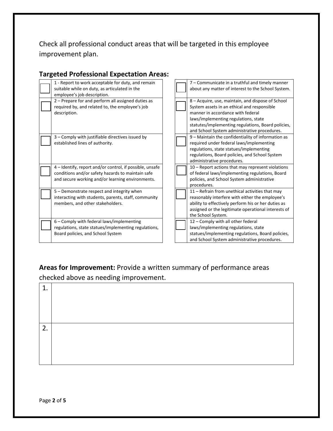Check all professional conduct areas that will be targeted in this employee improvement plan.

|  | <b>Targeted Professional Expectation Areas:</b>                                                                                                                   |  |                                                                                                                                                                                                                                                                                     |
|--|-------------------------------------------------------------------------------------------------------------------------------------------------------------------|--|-------------------------------------------------------------------------------------------------------------------------------------------------------------------------------------------------------------------------------------------------------------------------------------|
|  | 1 - Report to work acceptable for duty, and remain<br>suitable while on duty, as articulated in the<br>employee's job description.                                |  | 7 – Communicate in a truthful and timely manner<br>about any matter of interest to the School System.                                                                                                                                                                               |
|  | 2 – Prepare for and perform all assigned duties as<br>required by, and related to, the employee's job<br>description.                                             |  | 8 – Acquire, use, maintain, and dispose of School<br>System assets in an ethical and responsible<br>manner in accordance with federal<br>laws/implementing regulations, state<br>statutes/implementing regulations, Board policies,<br>and School System administrative procedures. |
|  | 3 – Comply with justifiable directives issued by<br>established lines of authority.                                                                               |  | 9 - Maintain the confidentiality of information as<br>required under federal laws/implementing<br>regulations, state statues/implementing<br>regulations, Board policies, and School System<br>administrative procedures.                                                           |
|  | 4 – Identify, report and/or control, if possible, unsafe<br>conditions and/or safety hazards to maintain safe<br>and secure working and/or learning environments. |  | $10$ – Report actions that may represent violations<br>of federal laws/implementing regulations, Board<br>policies, and School System administrative<br>procedures.                                                                                                                 |
|  | 5 – Demonstrate respect and integrity when<br>interacting with students, parents, staff, community<br>members, and other stakeholders.                            |  | 11 – Refrain from unethical activities that may<br>reasonably interfere with either the employee's<br>ability to effectively perform his or her duties as<br>assigned or the legitimate operational interests of<br>the School System.                                              |

6 – Comply with federal laws/implementing regulations, state statues/implementing regulations,

Board policies, and School System

|  | policies, and School System administrative                                                                                                                    |
|--|---------------------------------------------------------------------------------------------------------------------------------------------------------------|
|  | procedures.                                                                                                                                                   |
|  | 11 – Refrain from unethical activities that may                                                                                                               |
|  | reasonably interfere with either the employee's<br>ability to effectively perform his or her duties as<br>assigned or the legitimate operational interests of |
|  | the School System.                                                                                                                                            |
|  | 12 - Comply with all other federal                                                                                                                            |
|  | laws/implementing regulations, state                                                                                                                          |
|  | statues/implementing regulations, Board policies,                                                                                                             |
|  | and School System administrative procedures.                                                                                                                  |
|  |                                                                                                                                                               |

## **Areas for Improvement:** Provide a written summary of performance areas checked above as needing improvement.

| 1. |  |
|----|--|
|    |  |
|    |  |
|    |  |
| 2. |  |
|    |  |
|    |  |
|    |  |
|    |  |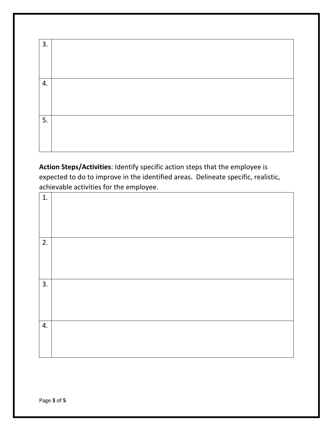| 3. |  |
|----|--|
|    |  |
|    |  |
|    |  |
| 4. |  |
|    |  |
|    |  |
|    |  |
| 5. |  |
|    |  |
|    |  |
|    |  |

**Action Steps/Activities**: Identify specific action steps that the employee is expected to do to improve in the identified areas. Delineate specific, realistic, achievable activities for the employee.

| 1. |  |
|----|--|
|    |  |
|    |  |
|    |  |
| 2. |  |
|    |  |
|    |  |
|    |  |
| 3. |  |
|    |  |
|    |  |
|    |  |
| 4. |  |
|    |  |
|    |  |
|    |  |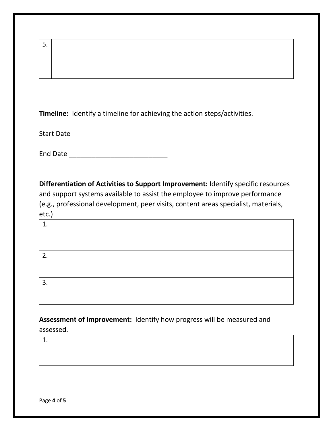| 5.                                                                                                                                                                                                                                                                 |
|--------------------------------------------------------------------------------------------------------------------------------------------------------------------------------------------------------------------------------------------------------------------|
| <b>Timeline:</b> Identify a timeline for achieving the action steps/activities.                                                                                                                                                                                    |
|                                                                                                                                                                                                                                                                    |
|                                                                                                                                                                                                                                                                    |
| Differentiation of Activities to Support Improvement: Identify specific resources<br>and support systems available to assist the employee to improve performance<br>(e.g., professional development, peer visits, content areas specialist, materials,<br>$etc.$ ) |
| 1.                                                                                                                                                                                                                                                                 |
| 2.                                                                                                                                                                                                                                                                 |
|                                                                                                                                                                                                                                                                    |

**Assessment of Improvement:** Identify how progress will be measured and assessed.

| ᆠ. |  |  |  |
|----|--|--|--|
|    |  |  |  |